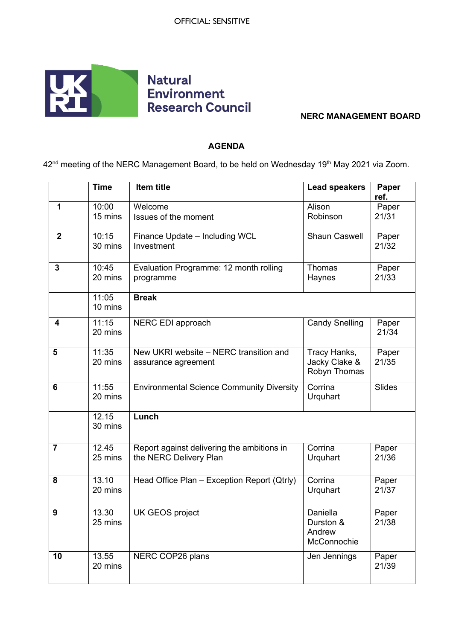

## **NERC MANAGEMENT BOARD**

## **AGENDA**

42<sup>nd</sup> meeting of the NERC Management Board, to be held on Wednesday 19<sup>th</sup> May 2021 via Zoom.

|                | <b>Time</b>      | Item title                                                           | <b>Lead speakers</b>                           | Paper<br>ref.  |
|----------------|------------------|----------------------------------------------------------------------|------------------------------------------------|----------------|
| 1              | 10:00<br>15 mins | Welcome<br>Issues of the moment                                      | Alison<br>Robinson                             | Paper<br>21/31 |
| $\overline{2}$ | 10:15<br>30 mins | Finance Update - Including WCL<br>Investment                         | <b>Shaun Caswell</b>                           | Paper<br>21/32 |
| 3              | 10:45<br>20 mins | Evaluation Programme: 12 month rolling<br>programme                  | Thomas<br>Haynes                               | Paper<br>21/33 |
|                | 11:05<br>10 mins | <b>Break</b>                                                         |                                                |                |
| 4              | 11:15<br>20 mins | NERC EDI approach                                                    | <b>Candy Snelling</b>                          | Paper<br>21/34 |
| 5              | 11:35<br>20 mins | New UKRI website - NERC transition and<br>assurance agreement        | Tracy Hanks,<br>Jacky Clake &<br>Robyn Thomas  | Paper<br>21/35 |
| 6              | 11:55<br>20 mins | <b>Environmental Science Community Diversity</b>                     | Corrina<br>Urquhart                            | Slides         |
|                | 12.15<br>30 mins | Lunch                                                                |                                                |                |
| $\overline{7}$ | 12.45<br>25 mins | Report against delivering the ambitions in<br>the NERC Delivery Plan | Corrina<br>Urquhart                            | Paper<br>21/36 |
| 8              | 13.10<br>20 mins | Head Office Plan - Exception Report (Qtrly)                          | Corrina<br>Urquhart                            | Paper<br>21/37 |
| 9              | 13.30<br>25 mins | UK GEOS project                                                      | Daniella<br>Durston &<br>Andrew<br>McConnochie | Paper<br>21/38 |
| 10             | 13.55<br>20 mins | NERC COP26 plans                                                     | Jen Jennings                                   | Paper<br>21/39 |